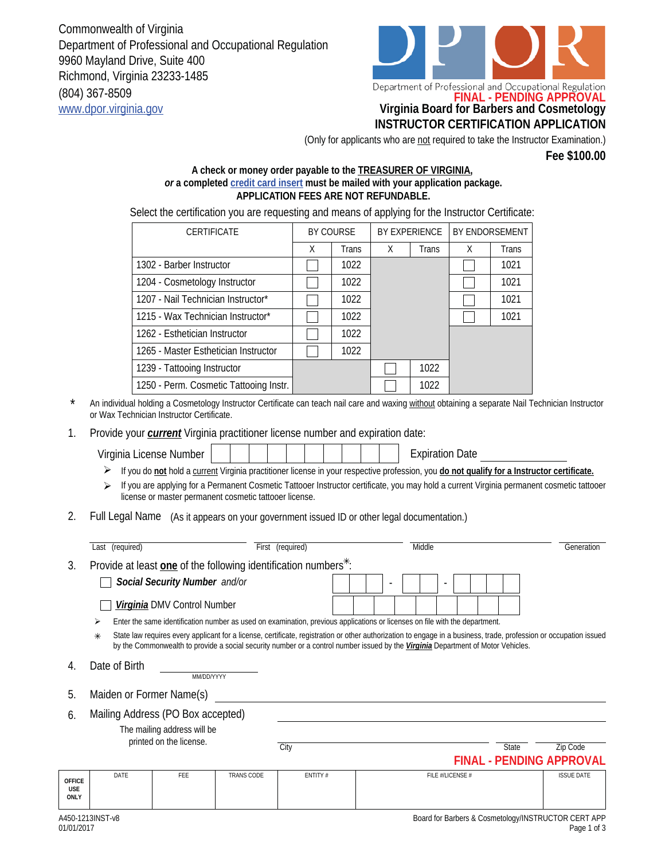Commonwealth of Virginia Department of Professional and Occupational Regulation 9960 Mayland Drive, Suite 400 Richmond, Virginia 23233-1485 (804) 367-8509 www.dpor.virginia.gov **Virginia Board for Barbers and Cosmetology**



## **INSTRUCTOR CERTIFICATION APPLICATION**

(Only for applicants who are not required to take the Instructor Examination.)

**Fee \$100.00**

## **A check or money order payable to the TREASURER OF VIRGINIA,**  *or* **a completed credit card insert must be mailed with your application package. APPLICATION FEES ARE NOT REFUNDABLE.**

Select the certification you are requesting and means of applying for the Instructor Certificate:

| <b>CERTIFICATE</b>                     | BY COURSE |              | <b>BY EXPERIENCE</b> |              | <b>BY ENDORSEMENT</b> |       |
|----------------------------------------|-----------|--------------|----------------------|--------------|-----------------------|-------|
|                                        | X         | <b>Trans</b> | X                    | <b>Trans</b> | X                     | Trans |
| 1302 - Barber Instructor               |           | 1022         |                      |              |                       | 1021  |
| 1204 - Cosmetology Instructor          |           | 1022         |                      |              |                       | 1021  |
| 1207 - Nail Technician Instructor*     |           | 1022         |                      |              |                       | 1021  |
| 1215 - Wax Technician Instructor*      |           | 1022         |                      |              |                       | 1021  |
| 1262 - Esthetician Instructor          |           | 1022         |                      |              |                       |       |
| 1265 - Master Esthetician Instructor   |           | 1022         |                      |              |                       |       |
| 1239 - Tattooing Instructor            |           |              |                      | 1022         |                       |       |
| 1250 - Perm. Cosmetic Tattooing Instr. |           |              |                      | 1022         |                       |       |

An individual holding a Cosmetology Instructor Certificate can teach nail care and waxing without obtaining a separate Nail Technician Instructor or Wax Technician Instructor Certificate. \*

Provide your *current* Virginia practitioner license number and expiration date: 1.

**FINAL - PENDING APPROVAL OFFICE USE ONLY** DATE | FEE | TRANS CODE | ENTITY # | FILE #/LICENSE # ISSUE DATE Virginia License Number Expiration Date If you do **not** hold a current Virginia practitioner license in your respective profession, you **do not qualify for a Instructor certificate.** If you are applying for a Permanent Cosmetic Tattooer Instructor certificate, you may hold a current Virginia permanent cosmetic tattooer license or master permanent cosmetic tattooer license. 2. Full Legal Name (As it appears on your government issued ID or other legal documentation.) Last (required) **First (required)** First (required) Middle Generation Generation 3. Provide at least **one** of the following identification numbers<sup>\*</sup>. *Social Security Number and/or Virginia* DMV Control Number State law requires every applicant for a license, certificate, registration or other authorization to engage in a business, trade, profession or occupation issued by the Commonwealth to provide a social security number or a control number issued by the *Virginia* Department of Motor Vehicles.  $\ast$  $\triangleright$  Enter the same identification number as used on examination, previous applications or licenses on file with the department. - - 4. Date of Birth MM/DD/YYYY 5. Maiden or Former Name(s) 6. The mailing address will be printed on the license. Mailing Address (PO Box accepted) City City Code City State City State City State City Code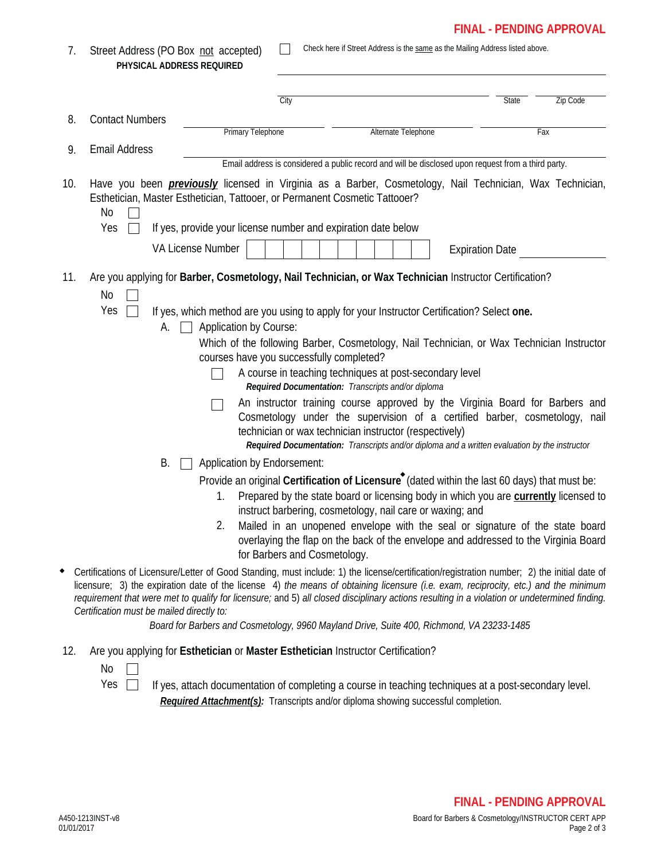## **FINAL - PENDING APPROVAL**

| 7.  | Street Address (PO Box not accepted)<br>PHYSICAL ADDRESS REQUIRED |                                                                                                    | Check here if Street Address is the same as the Mailing Address listed above.                                                                                                                                                                                                                                                                                                                                                                                                                                                                                                                                                                                                                                                                                                                                                                                                                                                                                                                            |                        |       |          |  |
|-----|-------------------------------------------------------------------|----------------------------------------------------------------------------------------------------|----------------------------------------------------------------------------------------------------------------------------------------------------------------------------------------------------------------------------------------------------------------------------------------------------------------------------------------------------------------------------------------------------------------------------------------------------------------------------------------------------------------------------------------------------------------------------------------------------------------------------------------------------------------------------------------------------------------------------------------------------------------------------------------------------------------------------------------------------------------------------------------------------------------------------------------------------------------------------------------------------------|------------------------|-------|----------|--|
|     |                                                                   |                                                                                                    | City                                                                                                                                                                                                                                                                                                                                                                                                                                                                                                                                                                                                                                                                                                                                                                                                                                                                                                                                                                                                     |                        | State | Zip Code |  |
| 8.  | <b>Contact Numbers</b>                                            |                                                                                                    |                                                                                                                                                                                                                                                                                                                                                                                                                                                                                                                                                                                                                                                                                                                                                                                                                                                                                                                                                                                                          |                        |       |          |  |
|     | <b>Email Address</b>                                              | Primary Telephone                                                                                  |                                                                                                                                                                                                                                                                                                                                                                                                                                                                                                                                                                                                                                                                                                                                                                                                                                                                                                                                                                                                          | Alternate Telephone    | Fax   |          |  |
| 9.  |                                                                   | Email address is considered a public record and will be disclosed upon request from a third party. |                                                                                                                                                                                                                                                                                                                                                                                                                                                                                                                                                                                                                                                                                                                                                                                                                                                                                                                                                                                                          |                        |       |          |  |
| 10. | No<br>Yes                                                         | VA License Number                                                                                  | Have you been <i>previously</i> licensed in Virginia as a Barber, Cosmetology, Nail Technician, Wax Technician,<br>Esthetician, Master Esthetician, Tattooer, or Permanent Cosmetic Tattooer?<br>If yes, provide your license number and expiration date below                                                                                                                                                                                                                                                                                                                                                                                                                                                                                                                                                                                                                                                                                                                                           |                        |       |          |  |
|     |                                                                   |                                                                                                    |                                                                                                                                                                                                                                                                                                                                                                                                                                                                                                                                                                                                                                                                                                                                                                                                                                                                                                                                                                                                          | <b>Expiration Date</b> |       |          |  |
| 11. | No<br>Yes<br>А.<br>В.                                             | Application by Course:<br>Application by Endorsement:                                              | Are you applying for Barber, Cosmetology, Nail Technician, or Wax Technician Instructor Certification?<br>If yes, which method are you using to apply for your Instructor Certification? Select one.<br>Which of the following Barber, Cosmetology, Nail Technician, or Wax Technician Instructor<br>courses have you successfully completed?<br>A course in teaching techniques at post-secondary level<br>Required Documentation: Transcripts and/or diploma<br>An instructor training course approved by the Virginia Board for Barbers and<br>Cosmetology under the supervision of a certified barber, cosmetology, nail<br>technician or wax technician instructor (respectively)<br>Required Documentation: Transcripts and/or diploma and a written evaluation by the instructor                                                                                                                                                                                                                  |                        |       |          |  |
|     | Certification must be mailed directly to:                         | 1.                                                                                                 | Provide an original Certification of Licensure <sup>*</sup> (dated within the last 60 days) that must be:<br>Prepared by the state board or licensing body in which you are currently licensed to<br>instruct barbering, cosmetology, nail care or waxing; and<br>Mailed in an unopened envelope with the seal or signature of the state board<br>overlaying the flap on the back of the envelope and addressed to the Virginia Board<br>for Barbers and Cosmetology.<br>Certifications of Licensure/Letter of Good Standing, must include: 1) the license/certification/registration number; 2) the initial date of<br>licensure; 3) the expiration date of the license 4) the means of obtaining licensure (i.e. exam, reciprocity, etc.) and the minimum<br>requirement that were met to qualify for licensure; and 5) all closed disciplinary actions resulting in a violation or undetermined finding.<br>Board for Barbers and Cosmetology, 9960 Mayland Drive, Suite 400, Richmond, VA 23233-1485 |                        |       |          |  |
| 12. | No                                                                |                                                                                                    | Are you applying for Esthetician or Master Esthetician Instructor Certification?                                                                                                                                                                                                                                                                                                                                                                                                                                                                                                                                                                                                                                                                                                                                                                                                                                                                                                                         |                        |       |          |  |

Yes  $\Box$  If yes, attach documentation of completing a course in teaching techniques at a post-secondary level. *Required Attachment(s):* Transcripts and/or diploma showing successful completion.